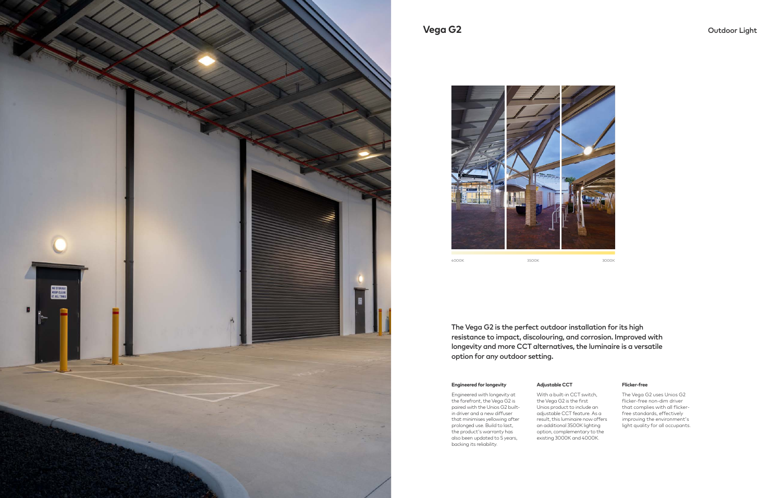



The Vega G2 is the perfect outdoor installation for its high resistance to impact, discolouring, and corrosion. Improved with longevity and more CCT alternatives, the luminaire is a versatile option for any outdoor setting.

### **Engineered for longevity**

Engineered with longevity at the forefront, the Vega G2 is paired with the Unios G2 builtin driver and a new diffuser that minimises yellowing after prolonged use. Build to last, the product's warranty has also been updated to 5 years, backing its reliability.

#### **Flicker-free**

The Vega G2 uses Unios G2 flicker-free non-dim driver that complies with all flickerfree standards, effectively improving the environment's light quality for all occupants.

#### **Adjustable CCT**

With a built-in CCT switch, the Vega G2 is the first Unios product to include an adjustable CCT feature. As a result, this luminaire now offers an additional 3500K lighting option, complementary to the existing 3000K and 4000K.

# **Vega G2** Outdoor Light

4000K 3500K 3000K